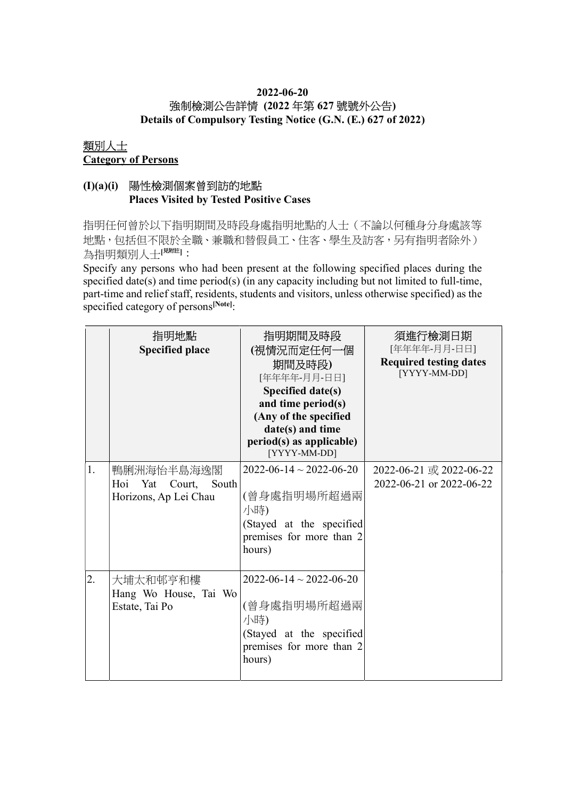## 2022-06-20 強制檢測公告詳情 (2022 年第 627 號號外公告)

Details of Compulsory Testing Notice (G.N. (E.) 627 of 2022)

#### 類別人士 Category of Persons

## (I)(a)(i) 陽性檢測個案曾到訪的地點 Places Visited by Tested Positive Cases

指明任何曾於以下指明期間及時段身處指明地點的人士(不論以何種身分身處該等 地點,包括但不限於全職、兼職和替假員工、住客、學生及訪客,另有指明者除外) 為指明類別人士[思詳]:

Specify any persons who had been present at the following specified places during the specified date(s) and time period(s) (in any capacity including but not limited to full-time, part-time and relief staff, residents, students and visitors, unless otherwise specified) as the specified category of persons<sup>[Note]</sup>:

|    | 指明地點<br><b>Specified place</b>                                    | 指明期間及時段<br>(視情況而定任何一個<br>期間及時段)<br>[年年年年-月月-日日]<br>Specified date(s)<br>and time period(s)<br>(Any of the specified<br>date(s) and time<br>period(s) as applicable)<br>[YYYY-MM-DD] | 須進行檢測日期<br>[年年年年-月月-日日]<br><b>Required testing dates</b><br>[YYYY-MM-DD] |
|----|-------------------------------------------------------------------|-------------------------------------------------------------------------------------------------------------------------------------------------------------------------------------|--------------------------------------------------------------------------|
| 1. | 鴨脷洲海怡半島海逸閣<br>Hoi Yat<br>Court,<br>South<br>Horizons, Ap Lei Chau | $2022 - 06 - 14 \sim 2022 - 06 - 20$<br>(曾身處指明場所超過兩<br>小時)<br>(Stayed at the specified<br>premises for more than 2<br>hours)                                                        | 2022-06-21 或 2022-06-22<br>2022-06-21 or 2022-06-22                      |
| 2. | 大埔太和邨亨和樓<br>Hang Wo House, Tai Wo<br>Estate, Tai Po               | $2022 - 06 - 14 \sim 2022 - 06 - 20$<br>(曾身處指明場所超過兩<br>小時)<br>(Stayed at the specified<br>premises for more than 2<br>hours)                                                        |                                                                          |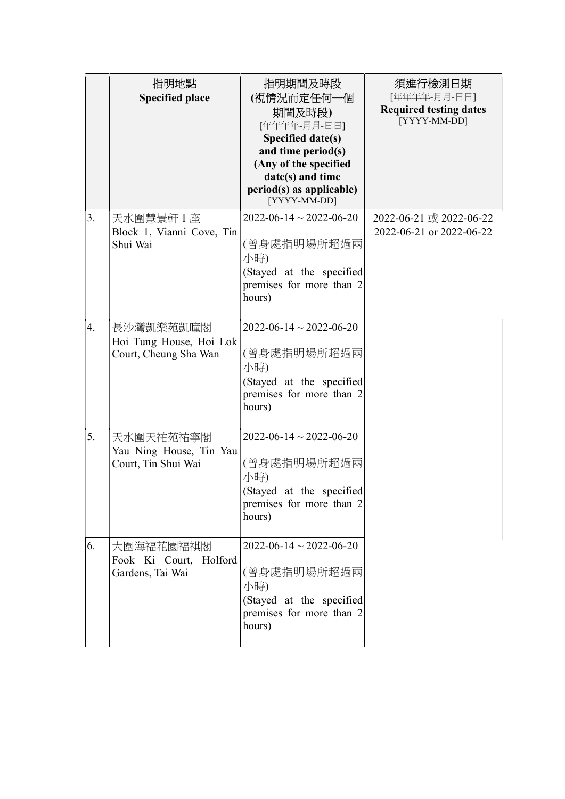|    | 指明地點<br><b>Specified place</b>                                | 指明期間及時段<br>(視情況而定任何一個<br>期間及時段)<br>[年年年年-月月-日日]<br>Specified date(s)<br>and time period(s)<br>(Any of the specified<br>date(s) and time<br>period(s) as applicable)<br>[YYYY-MM-DD] | 須進行檢測日期<br>[年年年年-月月-日日]<br><b>Required testing dates</b><br>[YYYY-MM-DD] |
|----|---------------------------------------------------------------|-------------------------------------------------------------------------------------------------------------------------------------------------------------------------------------|--------------------------------------------------------------------------|
| 3. | 天水圍慧景軒 1 座<br>Block 1, Vianni Cove, Tin<br>Shui Wai           | $2022 - 06 - 14 \sim 2022 - 06 - 20$<br>(曾身處指明場所超過兩<br>小時)<br>(Stayed at the specified<br>premises for more than 2<br>hours)                                                        | 2022-06-21 或 2022-06-22<br>2022-06-21 or 2022-06-22                      |
| 4. | 長沙灣凱樂苑凱曈閣<br>Hoi Tung House, Hoi Lok<br>Court, Cheung Sha Wan | $2022 - 06 - 14 \sim 2022 - 06 - 20$<br>(曾身處指明場所超過兩<br>小時)<br>(Stayed at the specified<br>premises for more than 2<br>hours)                                                        |                                                                          |
| 5. | 天水圍天祐苑祐寧閣<br>Yau Ning House, Tin Yau<br>Court, Tin Shui Wai   | $2022 - 06 - 14 \sim 2022 - 06 - 20$<br>(曾身處指明場所超過兩<br>小時)<br>(Stayed at the specified<br>premises for more than 2<br>hours)                                                        |                                                                          |
| 6. | 大圍海福花園福祺閣<br>Fook Ki Court, Holford<br>Gardens, Tai Wai       | $2022 - 06 - 14 \sim 2022 - 06 - 20$<br>(曾身處指明場所超過兩<br>小時)<br>(Stayed at the specified<br>premises for more than 2<br>hours)                                                        |                                                                          |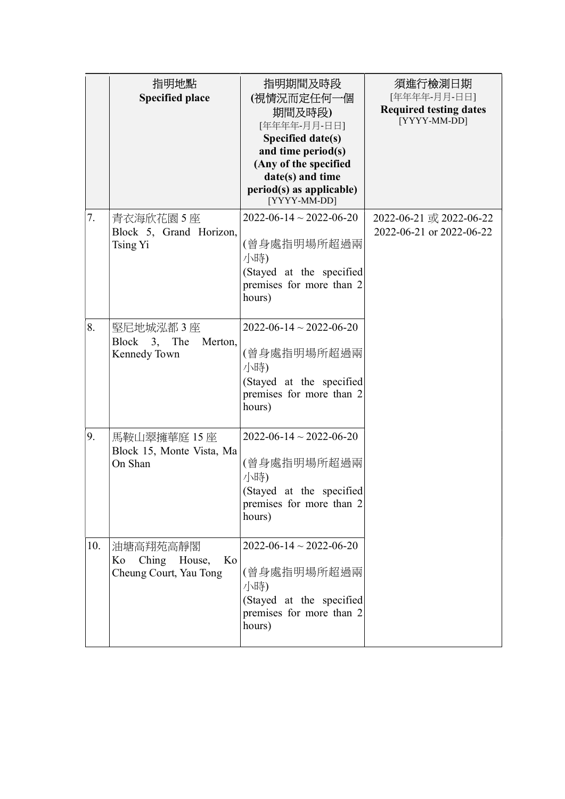|     | 指明地點<br><b>Specified place</b>                                 | 指明期間及時段<br>(視情況而定任何一個<br>期間及時段)<br>[年年年年-月月-日日]<br>Specified date(s)<br>and time period(s)<br>(Any of the specified<br>date(s) and time<br>period(s) as applicable)<br>[YYYY-MM-DD] | 須進行檢測日期<br>[年年年年-月月-日日]<br><b>Required testing dates</b><br>[YYYY-MM-DD] |
|-----|----------------------------------------------------------------|-------------------------------------------------------------------------------------------------------------------------------------------------------------------------------------|--------------------------------------------------------------------------|
| 7.  | 青衣海欣花園 5 座<br>Block 5, Grand Horizon,<br>Tsing Yi              | $2022 - 06 - 14 \sim 2022 - 06 - 20$<br>(曾身處指明場所超過兩<br>小時)<br>(Stayed at the specified<br>premises for more than 2<br>hours)                                                        | 2022-06-21 或 2022-06-22<br>2022-06-21 or 2022-06-22                      |
| 8.  | 堅尼地城泓都 3 座<br>Block 3, The<br>Merton,<br>Kennedy Town          | $2022 - 06 - 14 \sim 2022 - 06 - 20$<br>(曾身處指明場所超過兩<br>小時)<br>(Stayed at the specified<br>premises for more than 2<br>hours)                                                        |                                                                          |
| 9.  | 馬鞍山翠擁華庭 15 座<br>Block 15, Monte Vista, Ma<br>On Shan           | $2022 - 06 - 14 \sim 2022 - 06 - 20$<br>(曾身處指明場所超過兩<br>小時)<br>(Stayed at the specified<br>premises for more than 2<br>hours)                                                        |                                                                          |
| 10. | 油塘高翔苑高靜閣<br>Ching House,<br>Ko<br>Ko<br>Cheung Court, Yau Tong | $2022 - 06 - 14 \sim 2022 - 06 - 20$<br>(曾身處指明場所超過兩<br>小時)<br>(Stayed at the specified<br>premises for more than 2<br>hours)                                                        |                                                                          |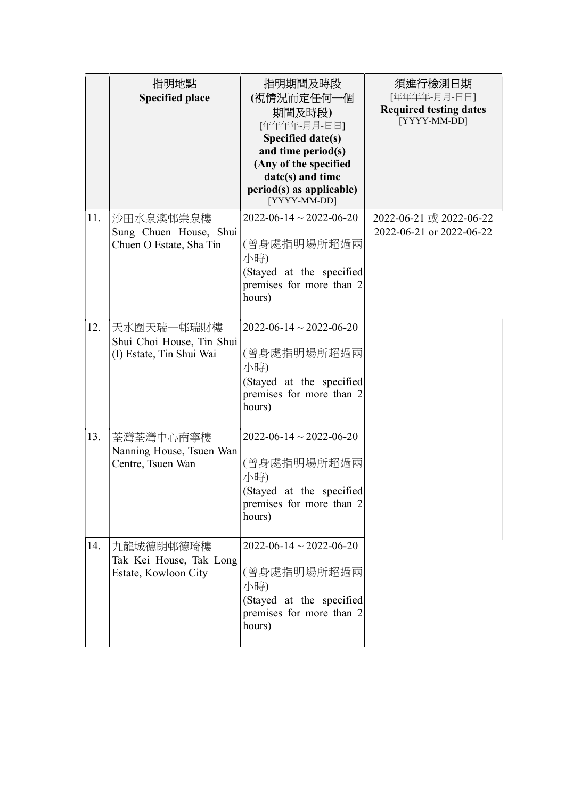|     | 指明地點<br><b>Specified place</b>                                      | 指明期間及時段<br>(視情況而定任何一個<br>期間及時段)<br>[年年年年-月月-日日]<br>Specified date(s)<br>and time period(s)<br>(Any of the specified<br>date(s) and time<br>period(s) as applicable)<br>[YYYY-MM-DD] | 須進行檢測日期<br>[年年年年-月月-日日]<br><b>Required testing dates</b><br>[YYYY-MM-DD] |
|-----|---------------------------------------------------------------------|-------------------------------------------------------------------------------------------------------------------------------------------------------------------------------------|--------------------------------------------------------------------------|
| 11. | 沙田水泉澳邨崇泉樓<br>Sung Chuen House, Shui<br>Chuen O Estate, Sha Tin      | $2022 - 06 - 14 \sim 2022 - 06 - 20$<br>(曾身處指明場所超過兩<br>小時)<br>(Stayed at the specified<br>premises for more than 2<br>hours)                                                        | 2022-06-21 或 2022-06-22<br>2022-06-21 or 2022-06-22                      |
| 12. | 天水圍天瑞一邨瑞財樓<br>Shui Choi House, Tin Shui<br>(I) Estate, Tin Shui Wai | $2022 - 06 - 14 \sim 2022 - 06 - 20$<br>(曾身處指明場所超過兩<br>小時)<br>(Stayed at the specified<br>premises for more than 2<br>hours)                                                        |                                                                          |
| 13. | 荃灣荃灣中心南寧樓<br>Nanning House, Tsuen Wan<br>Centre, Tsuen Wan          | $2022 - 06 - 14 \sim 2022 - 06 - 20$<br>(曾身處指明場所超過兩<br>小時)<br>(Stayed at the specified<br>premises for more than 2<br>hours)                                                        |                                                                          |
| 14. | 九龍城德朗邨德琦樓<br>Tak Kei House, Tak Long<br>Estate, Kowloon City        | $2022 - 06 - 14 \sim 2022 - 06 - 20$<br>(曾身處指明場所超過兩<br>小時)<br>(Stayed at the specified<br>premises for more than 2<br>hours)                                                        |                                                                          |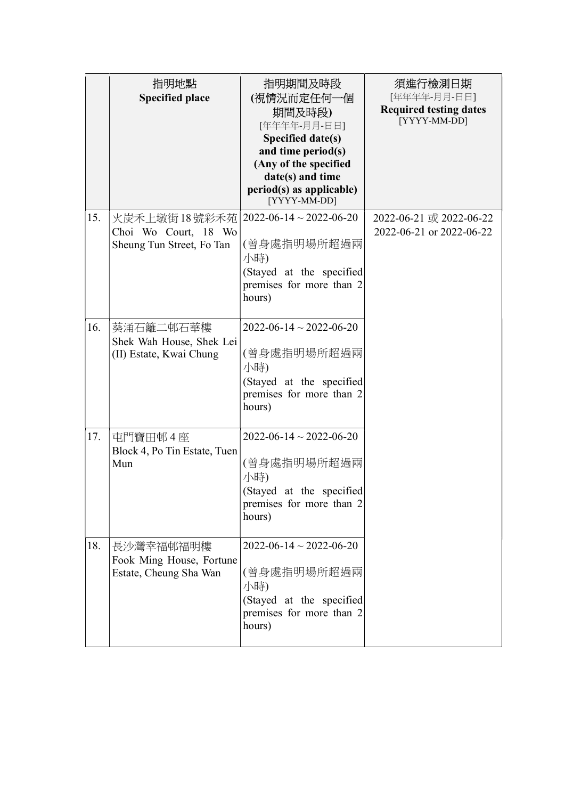|     | 指明地點<br><b>Specified place</b>                                      | 指明期間及時段<br>(視情況而定任何一個<br>期間及時段)<br>[年年年年-月月-日日]<br>Specified date(s)<br>and time period(s)<br>(Any of the specified<br>date(s) and time<br>period(s) as applicable)<br>[YYYY-MM-DD] | 須進行檢測日期<br>[年年年年-月月-日日]<br><b>Required testing dates</b><br>[YYYY-MM-DD] |
|-----|---------------------------------------------------------------------|-------------------------------------------------------------------------------------------------------------------------------------------------------------------------------------|--------------------------------------------------------------------------|
| 15. | 火炭禾上墩街 18 號彩禾苑<br>Choi Wo Court, 18 Wo<br>Sheung Tun Street, Fo Tan | $2022 - 06 - 14 \sim 2022 - 06 - 20$<br>(曾身處指明場所超過兩<br>小時)<br>(Stayed at the specified<br>premises for more than 2<br>hours)                                                        | 2022-06-21 或 2022-06-22<br>2022-06-21 or 2022-06-22                      |
| 16. | 葵涌石籬二邨石華樓<br>Shek Wah House, Shek Lei<br>(II) Estate, Kwai Chung    | $2022 - 06 - 14 \sim 2022 - 06 - 20$<br>(曾身處指明場所超過兩<br>小時)<br>(Stayed at the specified<br>premises for more than 2<br>hours)                                                        |                                                                          |
| 17. | 屯門寶田邨4座<br>Block 4, Po Tin Estate, Tuen<br>Mun                      | $2022 - 06 - 14 \sim 2022 - 06 - 20$<br>(曾身處指明場所超過兩<br>小時)<br>(Stayed at the specified<br>premises for more than 2<br>hours)                                                        |                                                                          |
| 18. | 長沙灣幸福邨福明樓<br>Fook Ming House, Fortune<br>Estate, Cheung Sha Wan     | $2022 - 06 - 14 \sim 2022 - 06 - 20$<br>(曾身處指明場所超過兩<br>小時)<br>(Stayed at the specified<br>premises for more than 2<br>hours)                                                        |                                                                          |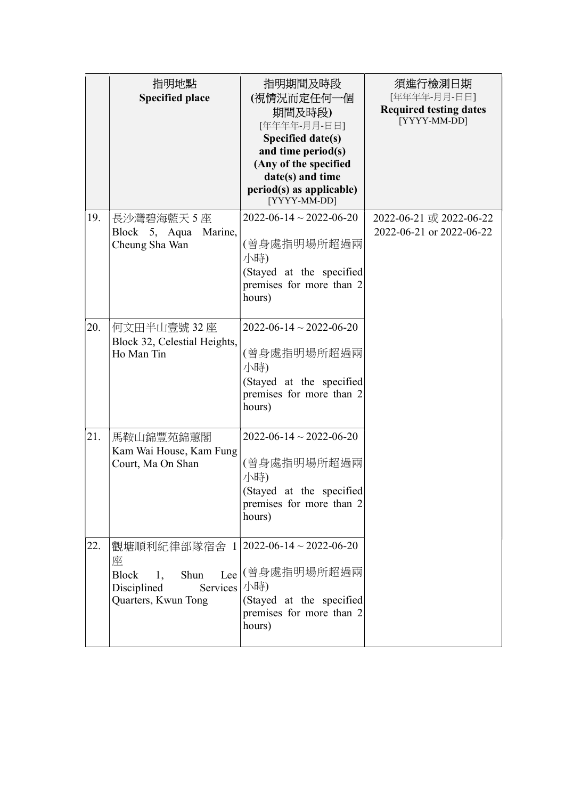|     | 指明地點<br><b>Specified place</b>                                                                                                | 指明期間及時段<br>(視情況而定任何一個<br>期間及時段)<br>[年年年年-月月-日日]<br>Specified date(s)<br>and time period(s)<br>(Any of the specified<br>date(s) and time<br>period(s) as applicable)<br>[YYYY-MM-DD] | 須進行檢測日期<br>[年年年年-月月-日日]<br><b>Required testing dates</b><br>[YYYY-MM-DD] |
|-----|-------------------------------------------------------------------------------------------------------------------------------|-------------------------------------------------------------------------------------------------------------------------------------------------------------------------------------|--------------------------------------------------------------------------|
| 19. | 長沙灣碧海藍天5座<br>Block 5, Aqua<br>Marine,<br>Cheung Sha Wan                                                                       | $2022 - 06 - 14 \sim 2022 - 06 - 20$<br>(曾身處指明場所超過兩<br>小時)<br>(Stayed at the specified<br>premises for more than 2<br>hours)                                                        | 2022-06-21 或 2022-06-22<br>2022-06-21 or 2022-06-22                      |
| 20. | 何文田半山壹號 32 座<br>Block 32, Celestial Heights,<br>Ho Man Tin                                                                    | $2022 - 06 - 14 \sim 2022 - 06 - 20$<br>(曾身處指明場所超過兩<br>小時)<br>(Stayed at the specified<br>premises for more than 2<br>hours)                                                        |                                                                          |
| 21. | 馬鞍山錦豐苑錦蕙閣<br>Kam Wai House, Kam Fung<br>Court, Ma On Shan                                                                     | $2022 - 06 - 14 \sim 2022 - 06 - 20$<br>(曾身處指明場所超過兩<br>小時)<br>(Stayed at the specified<br>premises for more than 2<br>hours)                                                        |                                                                          |
| 22. | 觀塘順利紀律部隊宿舍 1 2022-06-14~2022-06-20<br>座<br><b>Block</b><br>Shun<br>1,<br>Services   小時)<br>Disciplined<br>Quarters, Kwun Tong | Lee (曾身處指明場所超過兩<br>(Stayed at the specified<br>premises for more than 2<br>hours)                                                                                                   |                                                                          |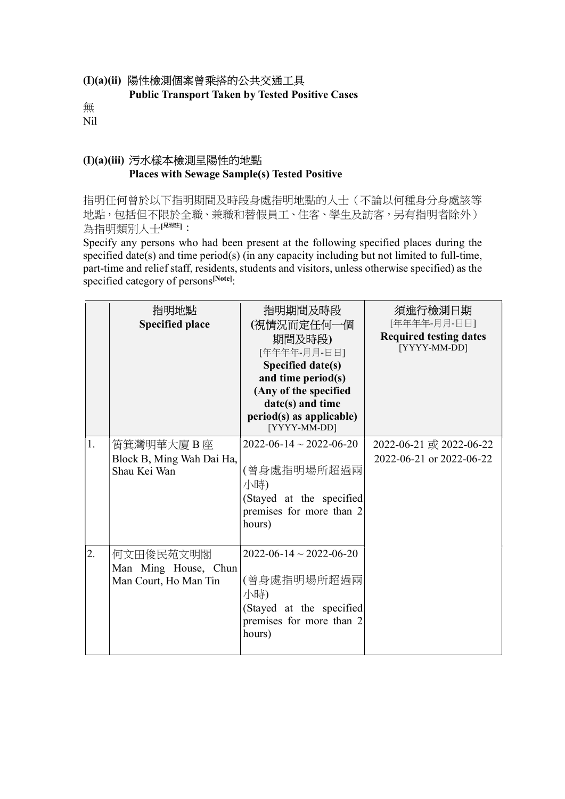#### (I)(a)(ii) 陽性檢測個案曾乘搭的公共交通工具

Public Transport Taken by Tested Positive Cases

無 Nil

### (I)(a)(iii) 污水樣本檢測呈陽性的地點 Places with Sewage Sample(s) Tested Positive

指明任何曾於以下指明期間及時段身處指明地點的人士(不論以何種身分身處該等 地點,包括但不限於全職、兼職和替假員工、住客、學生及訪客,另有指明者除外) 為指明類別人士[<sup>見附註]</sup>:

Specify any persons who had been present at the following specified places during the specified date(s) and time period(s) (in any capacity including but not limited to full-time, part-time and relief staff, residents, students and visitors, unless otherwise specified) as the specified category of persons<sup>[Note]</sup>:

|    | 指明地點<br><b>Specified place</b>                             | 指明期間及時段<br>(視情況而定任何一個<br>期間及時段)<br>[年年年年-月月-日日]<br>Specified date(s)<br>and time period(s)<br>(Any of the specified<br>date(s) and time<br>period(s) as applicable)<br>[YYYY-MM-DD] | 須進行檢測日期<br>[年年年年-月月-日日]<br><b>Required testing dates</b><br>[YYYY-MM-DD] |
|----|------------------------------------------------------------|-------------------------------------------------------------------------------------------------------------------------------------------------------------------------------------|--------------------------------------------------------------------------|
| 1. | 筲箕灣明華大廈 B 座<br>Block B, Ming Wah Dai Ha,<br>Shau Kei Wan   | $2022 - 06 - 14 \sim 2022 - 06 - 20$<br>(曾身處指明場所超過兩<br>小時)<br>(Stayed at the specified<br>premises for more than 2<br>hours)                                                        | 2022-06-21 或 2022-06-22<br>2022-06-21 or 2022-06-22                      |
| 2. | 何文田俊民苑文明閣<br>Man Ming House, Chun<br>Man Court, Ho Man Tin | $2022 - 06 - 14 \sim 2022 - 06 - 20$<br>(曾身處指明場所超過兩<br>小時)<br>(Stayed at the specified<br>premises for more than 2<br>hours)                                                        |                                                                          |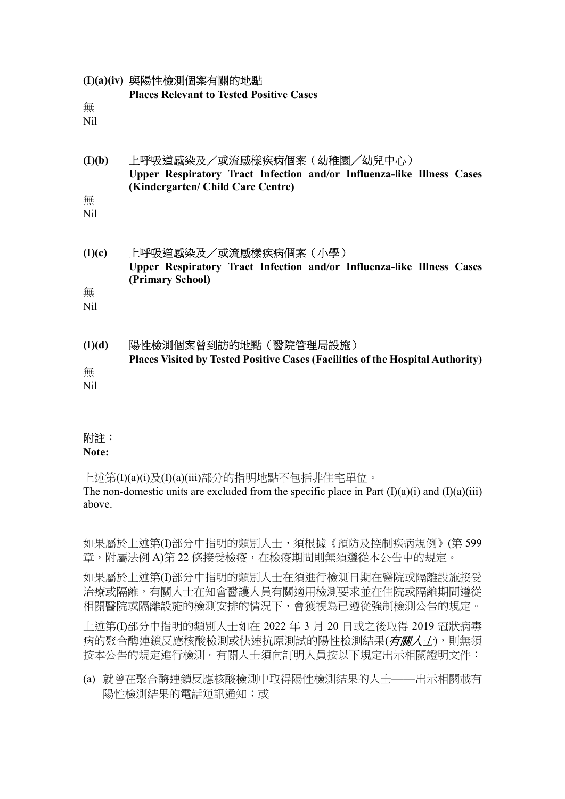| 無                  | (I)(a)(iv) 與陽性檢測個案有關的地點                                                                                 |
|--------------------|---------------------------------------------------------------------------------------------------------|
| N <sub>il</sub>    | <b>Places Relevant to Tested Positive Cases</b>                                                         |
| (I)(b)             | 上呼吸道感染及/或流感樣疾病個案(幼稚園/幼兒中心)                                                                              |
| 無                  | Upper Respiratory Tract Infection and/or Influenza-like Illness Cases                                   |
| <b>Nil</b>         | (Kindergarten/ Child Care Centre)                                                                       |
| (I)(c)             | 上呼吸道感染及/或流感樣疾病個案(小學)                                                                                    |
| 無                  | Upper Respiratory Tract Infection and/or Influenza-like Illness Cases                                   |
| <b>Nil</b>         | (Primary School)                                                                                        |
| (I)(d)<br>無<br>Nil | 陽性檢測個案曾到訪的地點(醫院管理局設施)<br>Places Visited by Tested Positive Cases (Facilities of the Hospital Authority) |

# 附註:

Note:

上述第(I)(a)(i)及(I)(a)(iii)部分的指明地點不包括非住宅單位。 The non-domestic units are excluded from the specific place in Part  $(I)(a)(i)$  and  $(I)(a)(iii)$ above.

如果屬於上述第(I)部分中指明的類別人士,須根據《預防及控制疾病規例》(第 599 章,附屬法例 A)第 22 條接受檢疫,在檢疫期間則無須遵從本公告中的規定。

如果屬於上述第(I)部分中指明的類別人士在須進行檢測日期在醫院或隔離設施接受 治療或隔離,有關人士在知會醫護人員有關適用檢測要求並在住院或隔離期間遵從 相關醫院或隔離設施的檢測安排的情況下,會獲視為已遵從強制檢測公告的規定。

上述第(I)部分中指明的類別人士如在 2022 年 3 月 20 日或之後取得 2019 冠狀病毒 病的聚合酶連鎖反應核酸檢測或快速抗原測試的陽性檢測結果(有關人士),則無須 按本公告的規定進行檢測。有關人士須向訂明人員按以下規定出示相關證明文件:

(a) 就曾在聚合酶連鎖反應核酸檢測中取得陽性檢測結果的人士——出示相關載有 陽性檢測結果的電話短訊通知;或